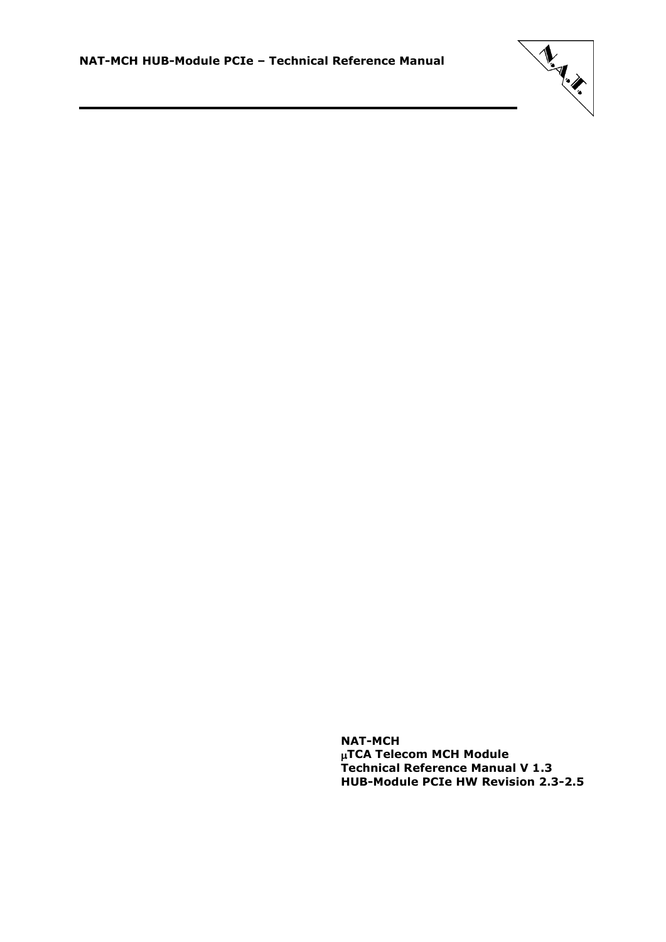

**NAT-MCH TCA Telecom MCH Module Technical Reference Manual V 1.3 HUB-Module PCIe HW Revision 2.3-2.5**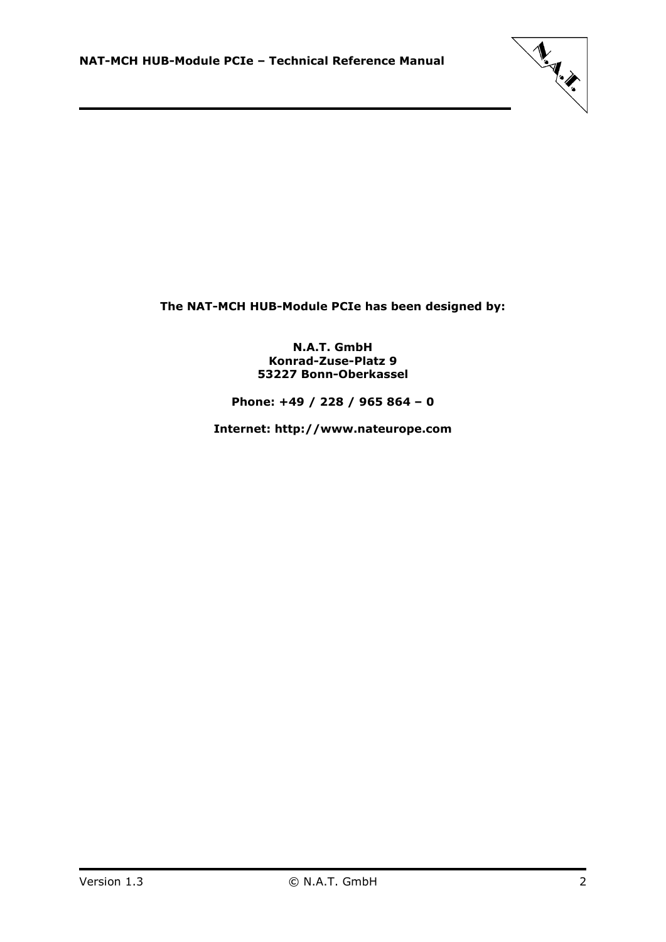

**The NAT-MCH HUB-Module PCIe has been designed by:**

**N.A.T. GmbH Konrad-Zuse-Platz 9 53227 Bonn-Oberkassel**

**Phone: +49 / 228 / 965 864 – 0**

**Internet: http://www.nateurope.com**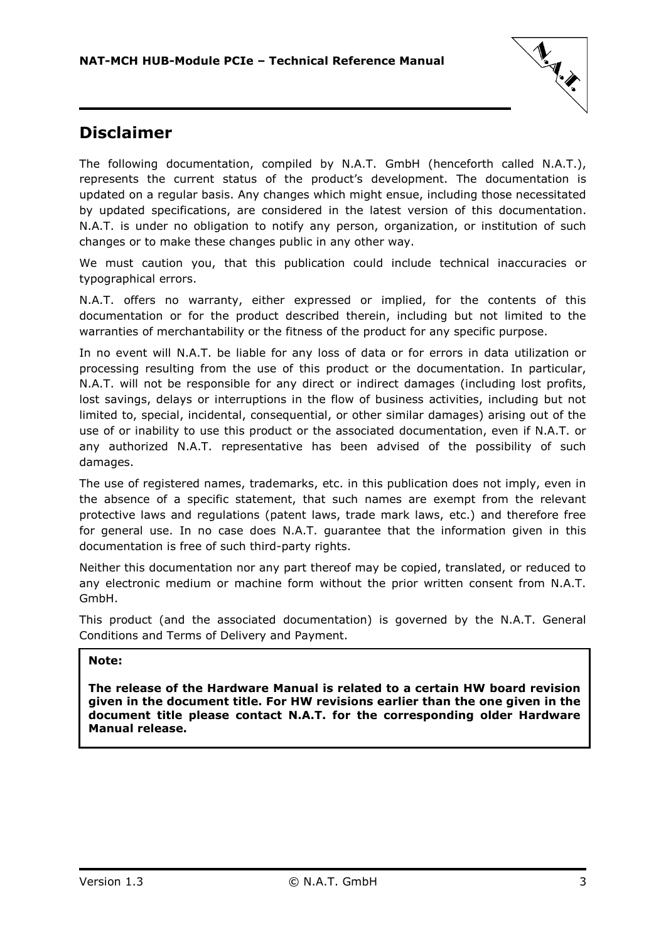

### <span id="page-2-0"></span>**Disclaimer**

The following documentation, compiled by N.A.T. GmbH (henceforth called N.A.T.), represents the current status of the product's development. The documentation is updated on a regular basis. Any changes which might ensue, including those necessitated by updated specifications, are considered in the latest version of this documentation. N.A.T. is under no obligation to notify any person, organization, or institution of such changes or to make these changes public in any other way.

We must caution you, that this publication could include technical inaccuracies or typographical errors.

N.A.T. offers no warranty, either expressed or implied, for the contents of this documentation or for the product described therein, including but not limited to the warranties of merchantability or the fitness of the product for any specific purpose.

In no event will N.A.T. be liable for any loss of data or for errors in data utilization or processing resulting from the use of this product or the documentation. In particular, N.A.T. will not be responsible for any direct or indirect damages (including lost profits, lost savings, delays or interruptions in the flow of business activities, including but not limited to, special, incidental, consequential, or other similar damages) arising out of the use of or inability to use this product or the associated documentation, even if N.A.T. or any authorized N.A.T. representative has been advised of the possibility of such damages.

The use of registered names, trademarks, etc. in this publication does not imply, even in the absence of a specific statement, that such names are exempt from the relevant protective laws and regulations (patent laws, trade mark laws, etc.) and therefore free for general use. In no case does N.A.T. guarantee that the information given in this documentation is free of such third-party rights.

Neither this documentation nor any part thereof may be copied, translated, or reduced to any electronic medium or machine form without the prior written consent from N.A.T. GmbH.

This product (and the associated documentation) is governed by the N.A.T. General Conditions and Terms of Delivery and Payment.

### **Note:**

**The release of the Hardware Manual is related to a certain HW board revision given in the document title. For HW revisions earlier than the one given in the document title please contact N.A.T. for the corresponding older Hardware Manual release.**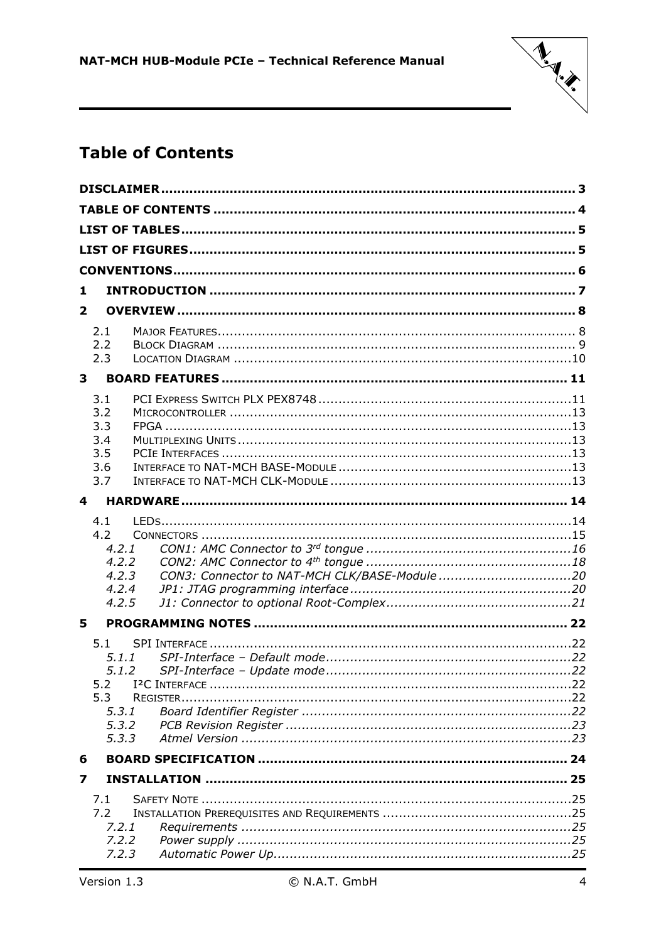

# <span id="page-3-0"></span>**Table of Contents**

| 1                 |                                              |  |
|-------------------|----------------------------------------------|--|
| $\overline{2}$    |                                              |  |
| 2.1               |                                              |  |
| 2.2<br>2.3        |                                              |  |
| 3                 |                                              |  |
| 3.1<br>3.2<br>3.3 |                                              |  |
| 3.4               |                                              |  |
| 3.5               |                                              |  |
| 3.6<br>3.7        |                                              |  |
| 4                 |                                              |  |
|                   |                                              |  |
| 4.1<br>4.2        |                                              |  |
| 4.2.1             |                                              |  |
| 4.2.2<br>4.2.3    | CON3: Connector to NAT-MCH CLK/BASE-Module20 |  |
| 4.2.4             |                                              |  |
| 4.2.5             |                                              |  |
| 5                 |                                              |  |
| 5.1               |                                              |  |
|                   | 5.1.1<br>5.1.2                               |  |
| 5.2               |                                              |  |
| 5.3               |                                              |  |
| 5.3.1             |                                              |  |
| 5.3.2<br>5, 3, 3  |                                              |  |
|                   |                                              |  |
|                   |                                              |  |
| 6                 |                                              |  |
| 7                 |                                              |  |
| 7.1<br>7.2        |                                              |  |
| 7.2.1             |                                              |  |
| 7.2.2<br>7.2.3    |                                              |  |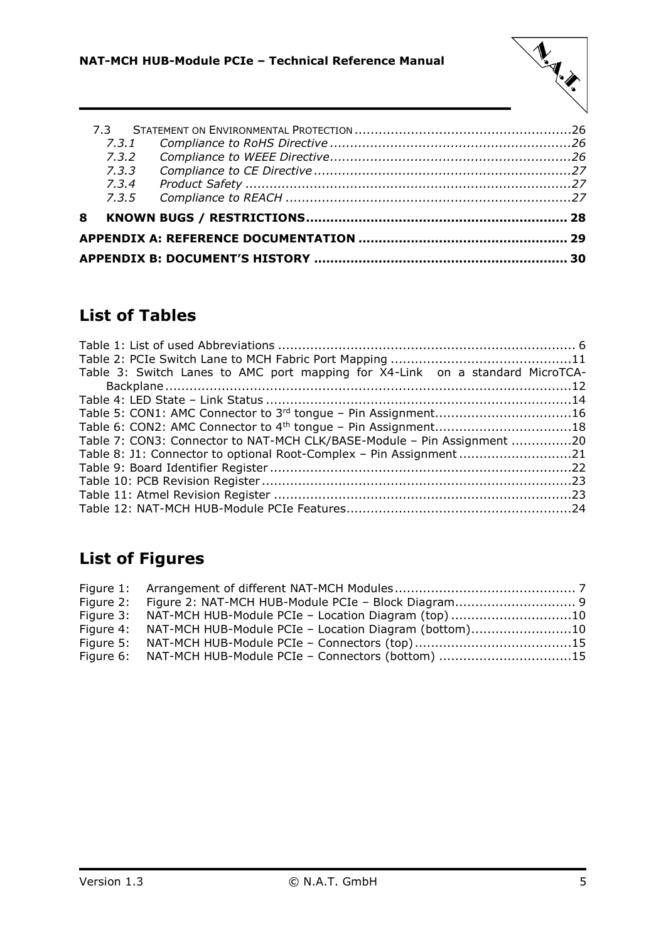

|   | 7.3.1 |  |
|---|-------|--|
|   | 7.3.2 |  |
|   | 7.3.3 |  |
|   | 7.3.4 |  |
|   | 7.3.5 |  |
| 8 |       |  |
|   |       |  |
|   |       |  |
|   |       |  |

# <span id="page-4-0"></span>**List of Tables**

| Table 3: Switch Lanes to AMC port mapping for X4-Link on a standard MicroTCA- |  |
|-------------------------------------------------------------------------------|--|
|                                                                               |  |
|                                                                               |  |
| Table 5: CON1: AMC Connector to 3 <sup>rd</sup> tongue - Pin Assignment16     |  |
|                                                                               |  |
| Table 7: CON3: Connector to NAT-MCH CLK/BASE-Module - Pin Assignment 20       |  |
| Table 8: J1: Connector to optional Root-Complex - Pin Assignment21            |  |
|                                                                               |  |
|                                                                               |  |
|                                                                               |  |
|                                                                               |  |
|                                                                               |  |

# <span id="page-4-1"></span>**List of Figures**

| Figure 3: NAT-MCH HUB-Module PCIe - Location Diagram (top)10    |  |
|-----------------------------------------------------------------|--|
| Figure 4: NAT-MCH HUB-Module PCIe - Location Diagram (bottom)10 |  |
|                                                                 |  |
| Figure 6: NAT-MCH HUB-Module PCIe - Connectors (bottom) 15      |  |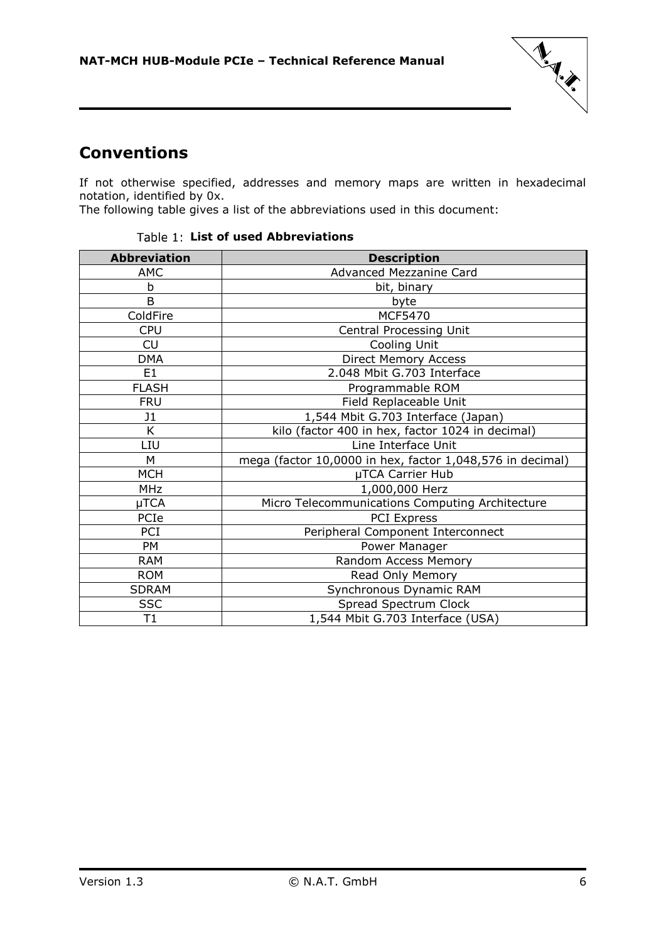

# <span id="page-5-0"></span>**Conventions**

If not otherwise specified, addresses and memory maps are written in hexadecimal notation, identified by 0x.

<span id="page-5-1"></span>The following table gives a list of the abbreviations used in this document:

| <b>Abbreviation</b> | <b>Description</b>                                        |
|---------------------|-----------------------------------------------------------|
| <b>AMC</b>          | Advanced Mezzanine Card                                   |
| b                   | bit, binary                                               |
| B                   | byte                                                      |
| ColdFire            | MCF5470                                                   |
| <b>CPU</b>          | Central Processing Unit                                   |
| CU                  | Cooling Unit                                              |
| <b>DMA</b>          | <b>Direct Memory Access</b>                               |
| E <sub>1</sub>      | 2.048 Mbit G.703 Interface                                |
| <b>FLASH</b>        | Programmable ROM                                          |
| <b>FRU</b>          | Field Replaceable Unit                                    |
| J1                  | 1,544 Mbit G.703 Interface (Japan)                        |
| K                   | kilo (factor 400 in hex, factor 1024 in decimal)          |
| LIU                 | Line Interface Unit                                       |
| M                   | mega (factor 10,0000 in hex, factor 1,048,576 in decimal) |
| <b>MCH</b>          | µTCA Carrier Hub                                          |
| <b>MHz</b>          | 1,000,000 Herz                                            |
| µTCA                | Micro Telecommunications Computing Architecture           |
| PCIe                | <b>PCI Express</b>                                        |
| PCI                 | Peripheral Component Interconnect                         |
| <b>PM</b>           | Power Manager                                             |
| <b>RAM</b>          | Random Access Memory                                      |
| <b>ROM</b>          | Read Only Memory                                          |
| <b>SDRAM</b>        | Synchronous Dynamic RAM                                   |
| <b>SSC</b>          | Spread Spectrum Clock                                     |
| T1                  | 1,544 Mbit G.703 Interface (USA)                          |

### Table 1: List of used Abbreviations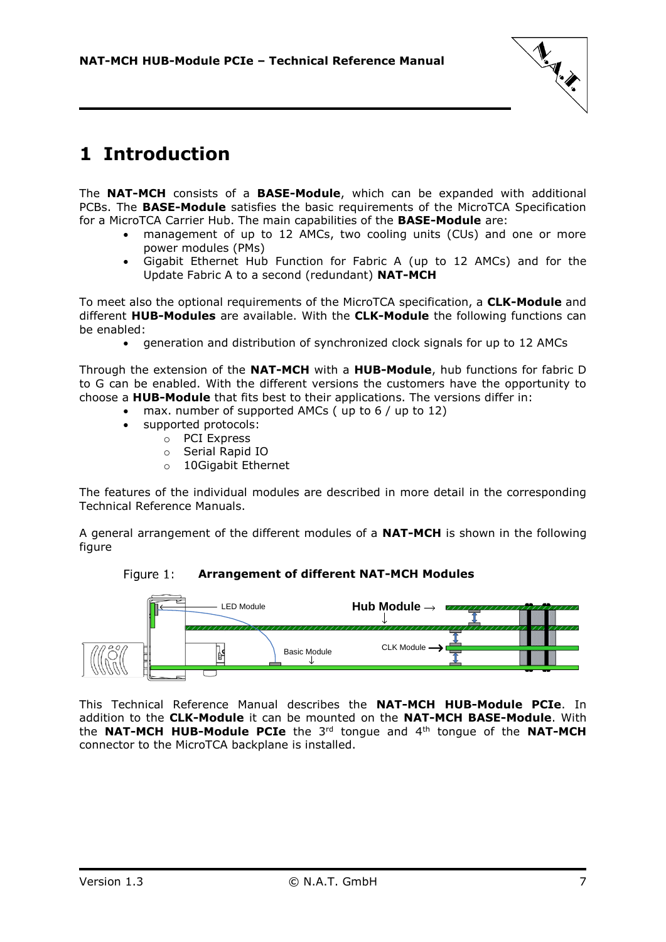

# <span id="page-6-0"></span>**1 Introduction**

The **NAT-MCH** consists of a **BASE-Module**, which can be expanded with additional PCBs. The **BASE-Module** satisfies the basic requirements of the MicroTCA Specification for a MicroTCA Carrier Hub. The main capabilities of the **BASE-Module** are:

- management of up to 12 AMCs, two cooling units (CUs) and one or more power modules (PMs)
- Gigabit Ethernet Hub Function for Fabric A (up to 12 AMCs) and for the Update Fabric A to a second (redundant) **NAT-MCH**

To meet also the optional requirements of the MicroTCA specification, a **CLK-Module** and different **HUB-Modules** are available. With the **CLK-Module** the following functions can be enabled:

generation and distribution of synchronized clock signals for up to 12 AMCs

Through the extension of the **NAT-MCH** with a **HUB-Module**, hub functions for fabric D to G can be enabled. With the different versions the customers have the opportunity to choose a **HUB-Module** that fits best to their applications. The versions differ in:

- max. number of supported AMCs ( up to 6 / up to 12)
	- supported protocols:
		- o PCI Express
		- o Serial Rapid IO
		- o 10Gigabit Ethernet

The features of the individual modules are described in more detail in the corresponding Technical Reference Manuals.

<span id="page-6-1"></span>A general arrangement of the different modules of a **NAT-MCH** is shown in the following figure





This Technical Reference Manual describes the **NAT-MCH HUB-Module PCIe**. In addition to the **CLK-Module** it can be mounted on the **NAT-MCH BASE-Module**. With the **NAT-MCH HUB-Module PCIe** the 3rd tongue and 4th tongue of the **NAT-MCH** connector to the MicroTCA backplane is installed.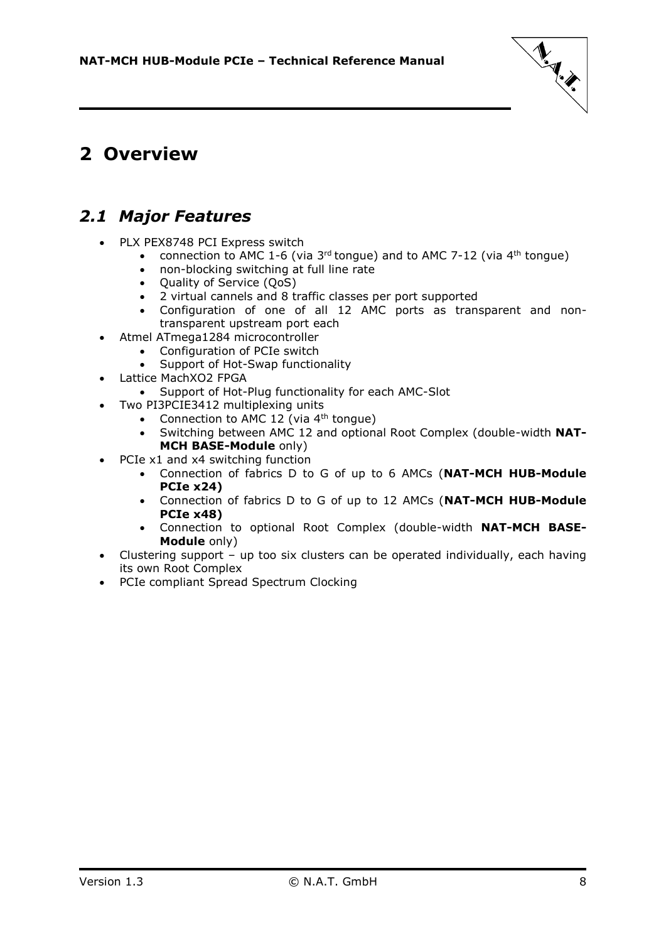

# <span id="page-7-0"></span>**2 Overview**

### <span id="page-7-1"></span>*2.1 Major Features*

- PLX PEX8748 PCI Express switch
	- connection to AMC 1-6 (via  $3^{rd}$  tongue) and to AMC 7-12 (via  $4^{th}$  tongue)
	- non-blocking switching at full line rate
	- Quality of Service (QoS)
	- 2 virtual cannels and 8 traffic classes per port supported
	- Configuration of one of all 12 AMC ports as transparent and nontransparent upstream port each
- Atmel ATmega1284 microcontroller
	- Configuration of PCIe switch
		- Support of Hot-Swap functionality
- Lattice MachXO2 FPGA
	- Support of Hot-Plug functionality for each AMC-Slot
	- Two PI3PCIE3412 multiplexing units
		- Connection to AMC 12 (via  $4<sup>th</sup>$  tongue)
		- Switching between AMC 12 and optional Root Complex (double-width **NAT-MCH BASE-Module** only)
- PCIe x1 and x4 switching function
	- Connection of fabrics D to G of up to 6 AMCs (**NAT-MCH HUB-Module PCIe x24)**
	- Connection of fabrics D to G of up to 12 AMCs (**NAT-MCH HUB-Module PCIe x48)**
	- Connection to optional Root Complex (double-width **NAT-MCH BASE-Module** only)
- Clustering support up too six clusters can be operated individually, each having its own Root Complex
- PCIe compliant Spread Spectrum Clocking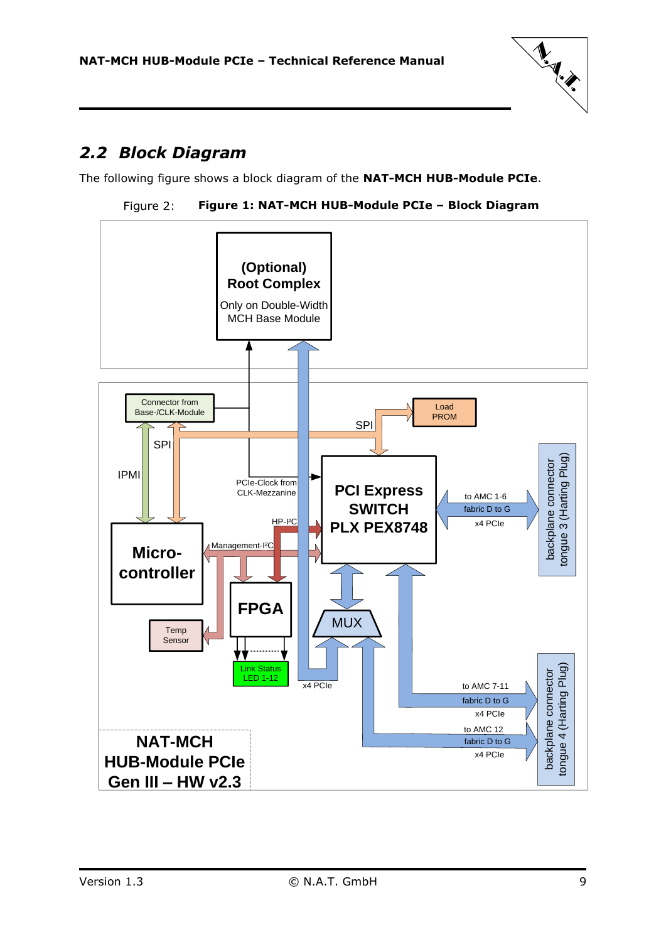

# <span id="page-8-0"></span>*2.2 Block Diagram*

<span id="page-8-1"></span>The following figure shows a block diagram of the **NAT-MCH HUB-Module PCIe**.



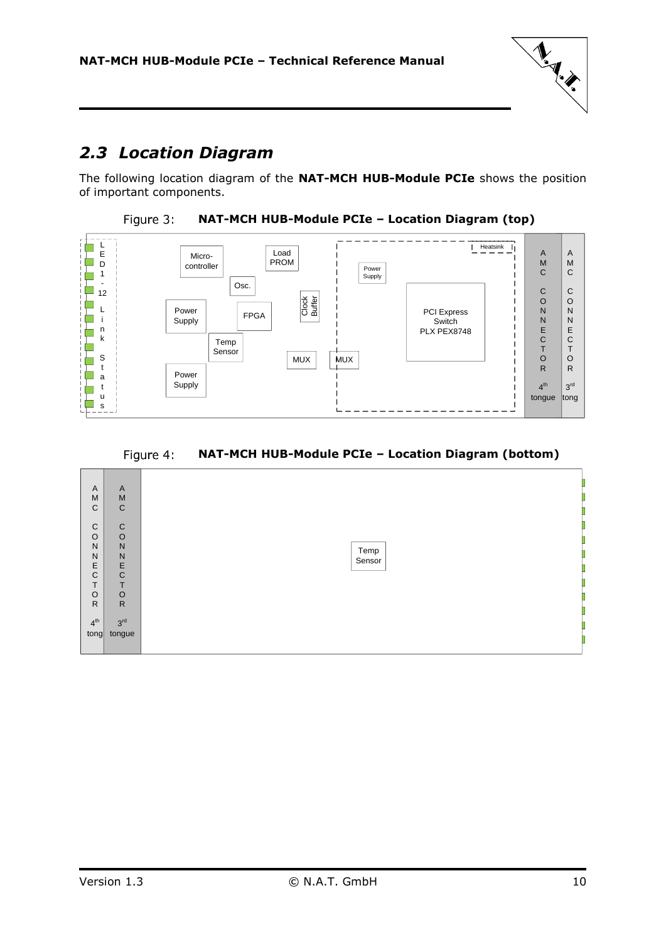

# <span id="page-9-0"></span>*2.3 Location Diagram*

<span id="page-9-1"></span>The following location diagram of the **NAT-MCH HUB-Module PCIe** shows the position of important components.





Figure 4: **NAT-MCH HUB-Module PCIe – Location Diagram (bottom)**

<span id="page-9-2"></span>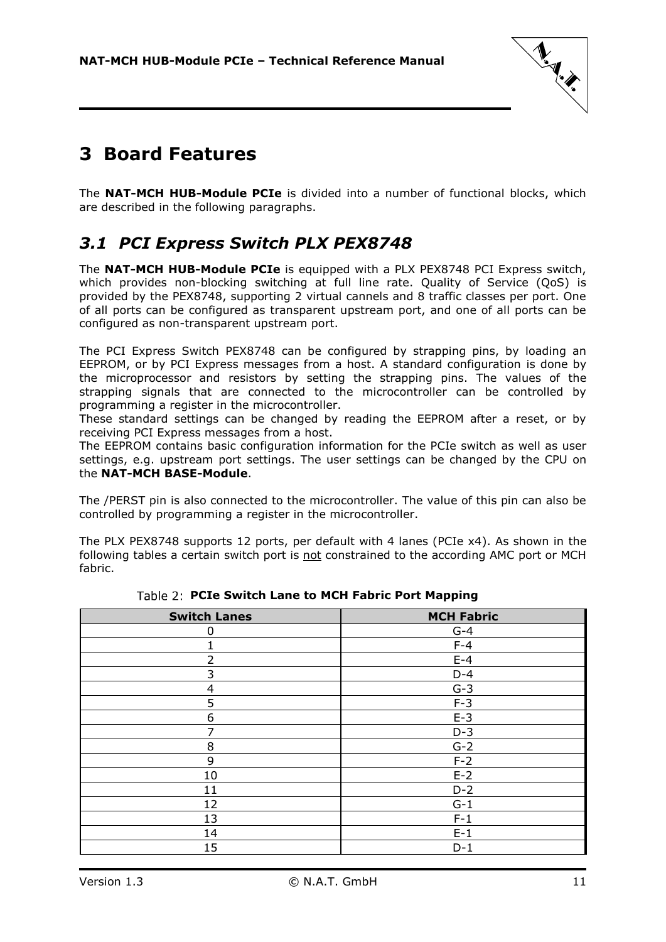

# <span id="page-10-0"></span>**3 Board Features**

The **NAT-MCH HUB-Module PCIe** is divided into a number of functional blocks, which are described in the following paragraphs.

# <span id="page-10-1"></span>*3.1 PCI Express Switch PLX PEX8748*

The **NAT-MCH HUB-Module PCIe** is equipped with a PLX PEX8748 PCI Express switch, which provides non-blocking switching at full line rate. Quality of Service (QoS) is provided by the PEX8748, supporting 2 virtual cannels and 8 traffic classes per port. One of all ports can be configured as transparent upstream port, and one of all ports can be configured as non-transparent upstream port.

The PCI Express Switch PEX8748 can be configured by strapping pins, by loading an EEPROM, or by PCI Express messages from a host. A standard configuration is done by the microprocessor and resistors by setting the strapping pins. The values of the strapping signals that are connected to the microcontroller can be controlled by programming a register in the microcontroller.

These standard settings can be changed by reading the EEPROM after a reset, or by receiving PCI Express messages from a host.

The EEPROM contains basic configuration information for the PCIe switch as well as user settings, e.g. upstream port settings. The user settings can be changed by the CPU on the **NAT-MCH BASE-Module**.

The /PERST pin is also connected to the microcontroller. The value of this pin can also be controlled by programming a register in the microcontroller.

The PLX PEX8748 supports 12 ports, per default with 4 lanes (PCIe x4). As shown in the following tables a certain switch port is not constrained to the according AMC port or MCH fabric.

<span id="page-10-2"></span>

| <b>Switch Lanes</b> | <b>MCH Fabric</b> |
|---------------------|-------------------|
| 0                   | $G-4$             |
|                     | $F-4$             |
| $\overline{2}$      | $E-4$             |
| 3                   | $D-4$             |
| 4                   | $G-3$             |
| 5                   | $F-3$             |
| 6                   | $E-3$             |
| 7                   | $D-3$             |
| 8                   | $G-2$             |
| 9                   | $F-2$             |
| 10                  | $E-2$             |
| 11                  | $D-2$             |
| 12                  | $G-1$             |
| 13                  | $F-1$             |
| 14                  | $E-1$             |
| 15                  | $D-1$             |

**PCIe Switch Lane to MCH Fabric Port Mapping**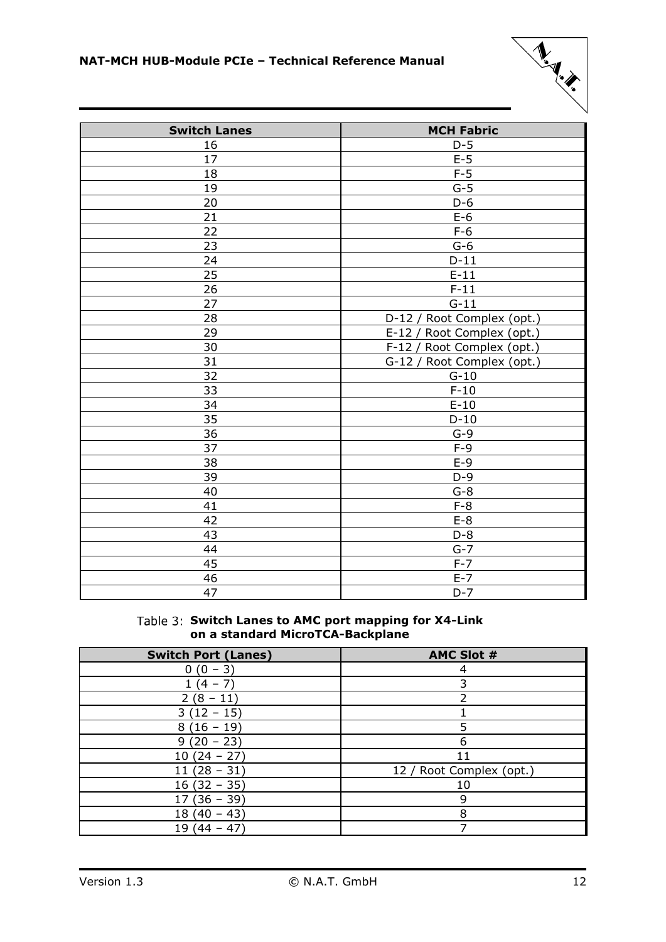

| <b>Switch Lanes</b> | <b>MCH Fabric</b>              |
|---------------------|--------------------------------|
| 16                  | $D-5$                          |
| 17                  | $E-5$                          |
| 18                  | $F-5$                          |
| 19                  | $G-5$                          |
| 20                  | $D-6$                          |
| 21                  | $E-6$                          |
| 22                  | $F-6$                          |
| 23                  | $G-6$                          |
| 24                  | $D-11$                         |
| 25                  | $E-11$                         |
| 26                  | $F-11$                         |
| 27                  | $G-11$                         |
| 28                  | D-12 / Root Complex (opt.)     |
| 29                  | E-12 / Root Complex (opt.)     |
| 30                  | $F-12/$<br>Root Complex (opt.) |
| 31                  | G-12 / Root Complex (opt.)     |
| 32                  | $G-10$                         |
| 33                  | $F-10$                         |
| 34                  | $E-10$                         |
| 35                  | $D-10$                         |
| $\overline{36}$     | $G-9$                          |
| 37                  | $F-9$                          |
| 38                  | $E-9$                          |
| 39                  | $D-9$                          |
| 40                  | $G-8$                          |
| 41                  | $F-8$                          |
| $\overline{42}$     | $E-8$                          |
| 43                  | $D-8$                          |
| 44                  | $G-7$                          |
| 45                  | $F-7$                          |
| 46                  | $E-7$                          |
| 47                  | $D-7$                          |

### Table 3: Switch Lanes to AMC port mapping for X4-Link **on a standard MicroTCA-Backplane**

<span id="page-11-0"></span>

| <b>Switch Port (Lanes)</b> | <b>AMC Slot #</b>        |
|----------------------------|--------------------------|
| $-3)$<br>Ό                 |                          |
| (4 – 7)                    |                          |
| $2(8-11)$                  |                          |
| $3(12 - 15)$               |                          |
| $8(16-19)$                 |                          |
| $9(20 - 23)$               | 6                        |
| $10(24 - 27)$              | 11                       |
| $(28 - 31)$<br>11          | 12 / Root Complex (opt.) |
| $16(32 - 35)$              | 10                       |
| 17 (36 – 39)               | 9                        |
| $-43$<br>18 (40            | 8                        |
| 19<br>$(44 - 47)$          |                          |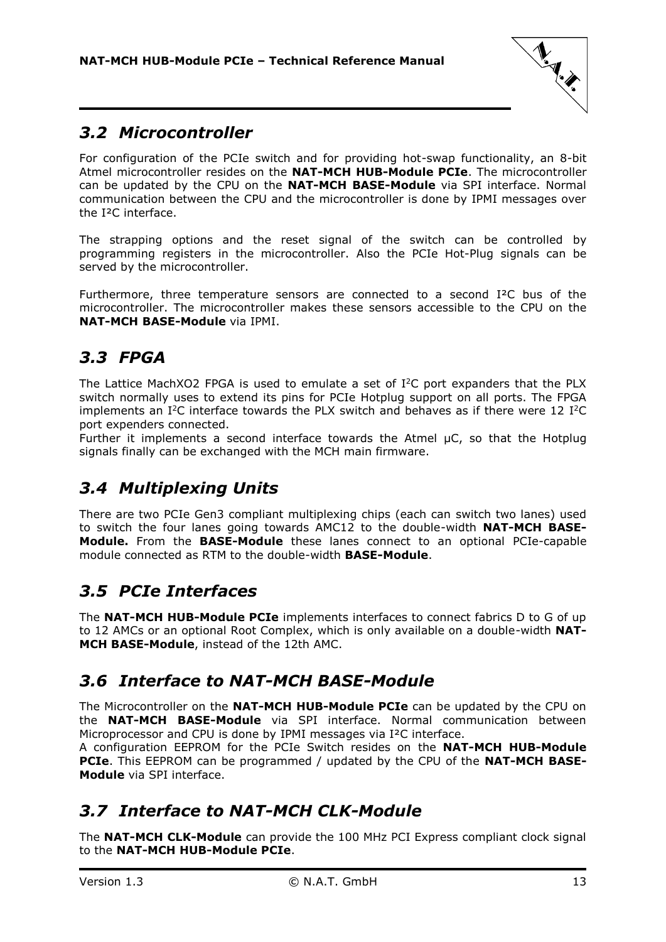

# <span id="page-12-0"></span>*3.2 Microcontroller*

For configuration of the PCIe switch and for providing hot-swap functionality, an 8-bit Atmel microcontroller resides on the **NAT-MCH HUB-Module PCIe**. The microcontroller can be updated by the CPU on the **NAT-MCH BASE-Module** via SPI interface. Normal communication between the CPU and the microcontroller is done by IPMI messages over the I²C interface.

The strapping options and the reset signal of the switch can be controlled by programming registers in the microcontroller. Also the PCIe Hot-Plug signals can be served by the microcontroller.

Furthermore, three temperature sensors are connected to a second I²C bus of the microcontroller. The microcontroller makes these sensors accessible to the CPU on the **NAT-MCH BASE-Module** via IPMI.

# <span id="page-12-1"></span>*3.3 FPGA*

The Lattice MachXO2 FPGA is used to emulate a set of  $I^2C$  port expanders that the PLX switch normally uses to extend its pins for PCIe Hotplug support on all ports. The FPGA implements an  $I^2C$  interface towards the PLX switch and behaves as if there were 12  $I^2C$ port expenders connected.

Further it implements a second interface towards the Atmel µC, so that the Hotplug signals finally can be exchanged with the MCH main firmware.

# <span id="page-12-2"></span>*3.4 Multiplexing Units*

There are two PCIe Gen3 compliant multiplexing chips (each can switch two lanes) used to switch the four lanes going towards AMC12 to the double-width **NAT-MCH BASE-Module.** From the **BASE-Module** these lanes connect to an optional PCIe-capable module connected as RTM to the double-width **BASE-Module**.

# <span id="page-12-3"></span>*3.5 PCIe Interfaces*

The **NAT-MCH HUB-Module PCIe** implements interfaces to connect fabrics D to G of up to 12 AMCs or an optional Root Complex, which is only available on a double-width **NAT-MCH BASE-Module**, instead of the 12th AMC.

# <span id="page-12-4"></span>*3.6 Interface to NAT-MCH BASE-Module*

The Microcontroller on the **NAT-MCH HUB-Module PCIe** can be updated by the CPU on the **NAT-MCH BASE-Module** via SPI interface. Normal communication between Microprocessor and CPU is done by IPMI messages via I²C interface.

A configuration EEPROM for the PCIe Switch resides on the **NAT-MCH HUB-Module PCIe**. This EEPROM can be programmed / updated by the CPU of the **NAT-MCH BASE-Module** via SPI interface.

# <span id="page-12-5"></span>*3.7 Interface to NAT-MCH CLK-Module*

The **NAT-MCH CLK-Module** can provide the 100 MHz PCI Express compliant clock signal to the **NAT-MCH HUB-Module PCIe**.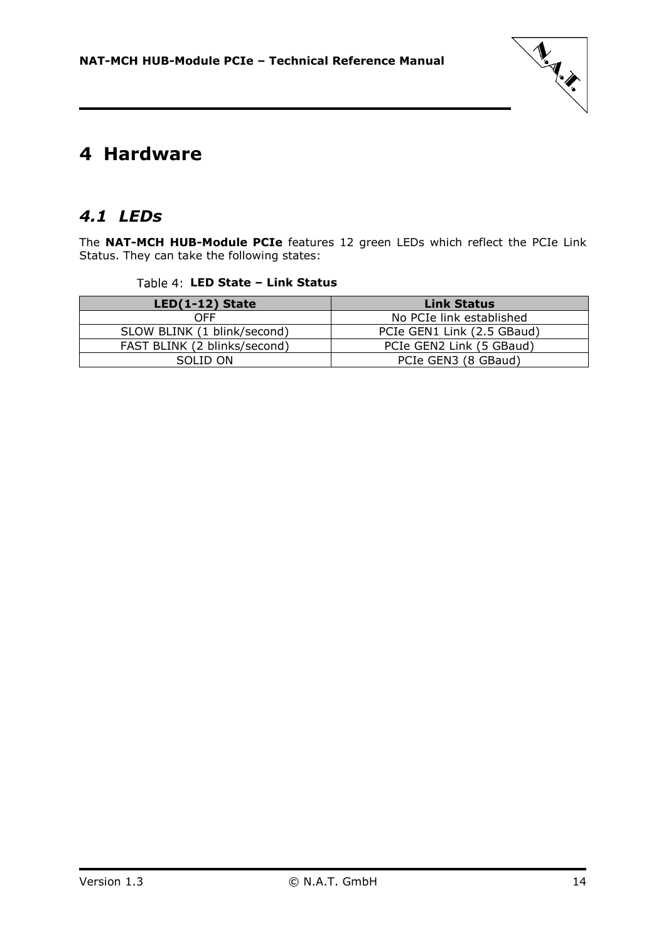

# <span id="page-13-0"></span>**4 Hardware**

# <span id="page-13-1"></span>*4.1 LEDs*

<span id="page-13-2"></span>The **NAT-MCH HUB-Module PCIe** features 12 green LEDs which reflect the PCIe Link Status. They can take the following states:

### **LED State – Link Status**

| $LED(1-12)$ State            | <b>Link Status</b>         |
|------------------------------|----------------------------|
| OFF                          | No PCIe link established   |
| SLOW BLINK (1 blink/second)  | PCIe GEN1 Link (2.5 GBaud) |
| FAST BLINK (2 blinks/second) | PCIe GEN2 Link (5 GBaud)   |
| SOLID ON                     | PCIe GEN3 (8 GBaud)        |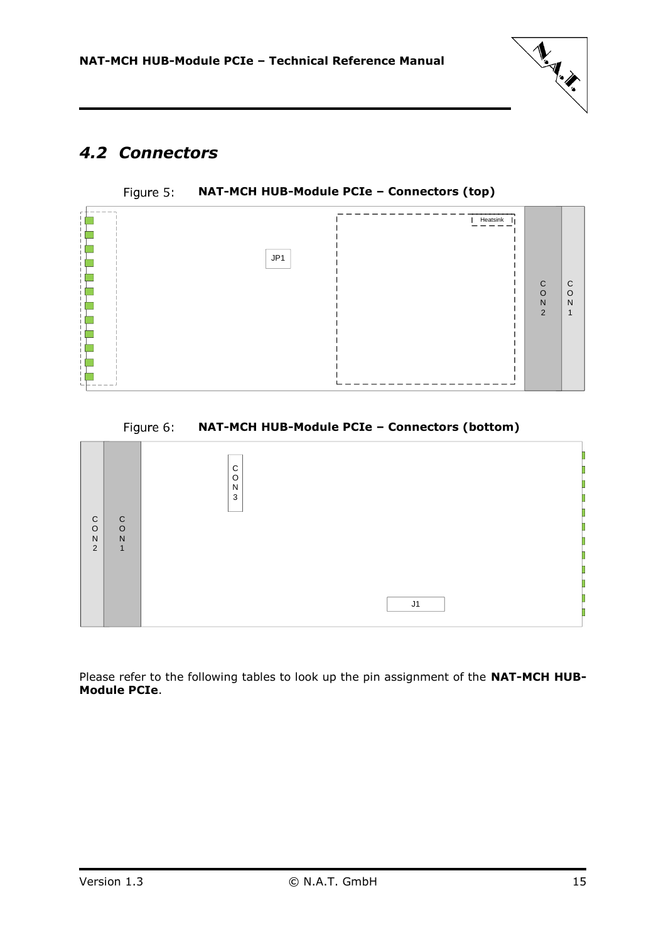

# <span id="page-14-0"></span>*4.2 Connectors*



<span id="page-14-1"></span>

#### Figure 6: **NAT-MCH HUB-Module PCIe – Connectors (bottom)**

<span id="page-14-2"></span>

Please refer to the following tables to look up the pin assignment of the **NAT-MCH HUB-Module PCIe**.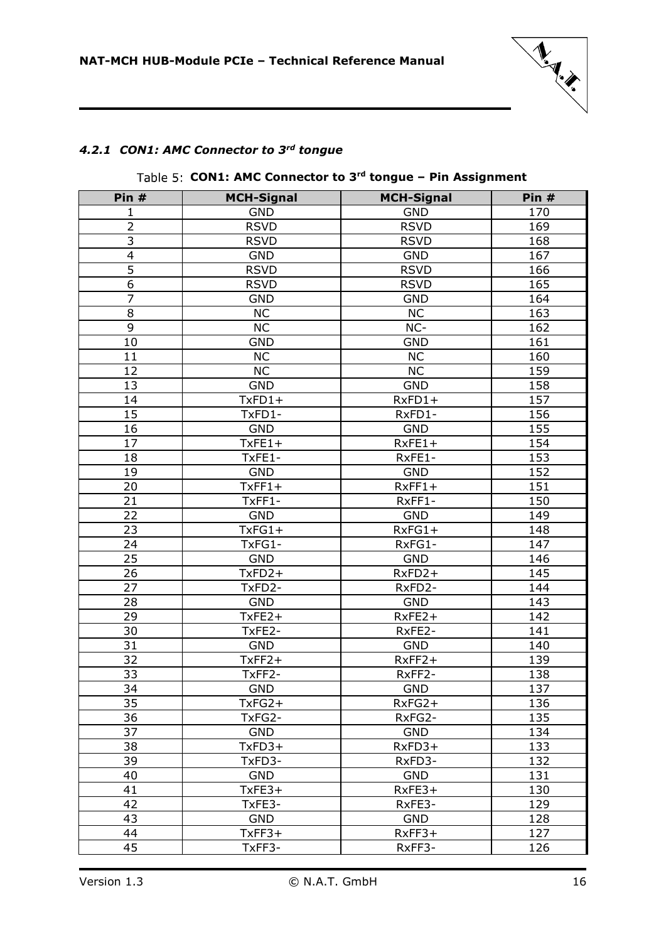

#### <span id="page-15-1"></span><span id="page-15-0"></span>*4.2.1 CON1: AMC Connector to 3rd tongue*

#### **Pin # MCH-Signal MCH-Signal Pin #** 1 GND | GND | 170 2 | RSVD | RSVD | 169 RSVD RSVD 168 4 | GND | GND | 167 5 | RSVD | RSVD | 166 RSVD RSVD 165 7 | GND | GND | 164 8 | NC | NC | 163 9 | NC | NC- | 162 10 | GND | GND 161 11 | NC | NC | 160 12 | NC NC 159 GND GND 158 TxFD1+ RxFD1+ 157 TxFD1- RxFD1- 156 GND GND 155 TxFE1+ RxFE1+ 154 TxFE1- RxFE1- 153 GND GND 152 TxFF1+ RxFF1+ 151 TxFF1- RxFF1- 150 22 | GND | GND | 149 TxFG1+ RxFG1+ 148 TxFG1- RxFG1- 147 GND GND 146 TxFD2+ RxFD2+ 145 TxFD2- RxFD2- 144 GND GND 143 TxFE2+ RxFE2+ 142 TxFE2- RxFE2- 141 GND GND 140 TxFF2+ RxFF2+ 139 TxFF2- RxFF2- 138 GND GND 137 TxFG2+ RxFG2+ 136 TxFG2- RxFG2- 135 GND GND 134 TxFD3+ RxFD3+ 133 TxFD3- RxFD3- 132 GND GND 131 TxFE3+ RxFE3+ 130 TxFE3- RxFE3- 129 GND GND 128 TxFF3+ RxFF3+ 127 TxFF3- RxFF3- 126

#### **CON1: AMC Connector to 3rd tongue – Pin Assignment**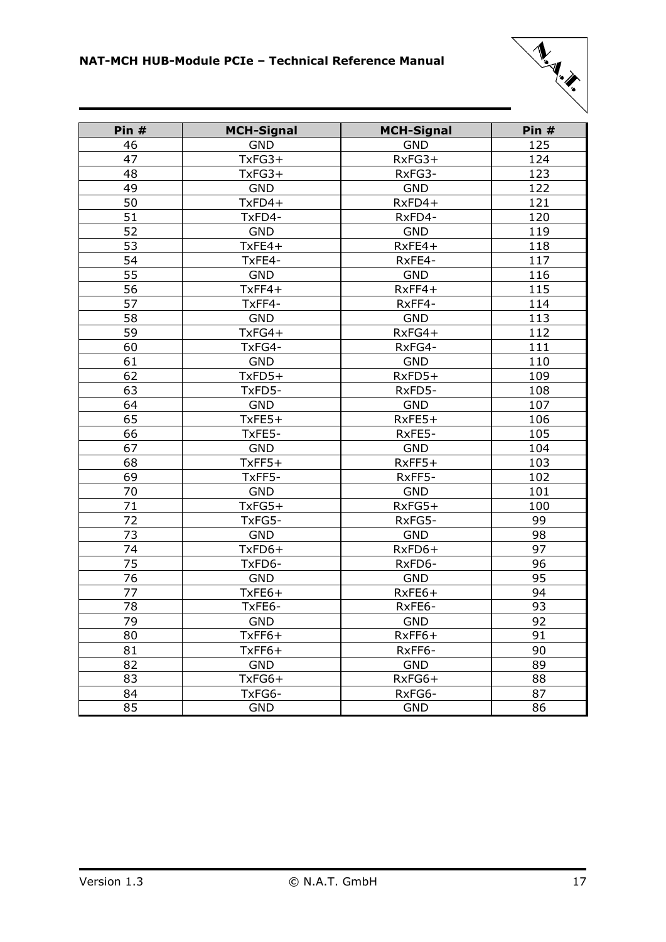

| Pin # | <b>MCH-Signal</b> | <b>MCH-Signal</b> | Pin # |
|-------|-------------------|-------------------|-------|
| 46    | <b>GND</b>        | <b>GND</b>        | 125   |
| 47    | $TxFG3+$          | $RxFG3+$          | 124   |
| 48    | $TxFG3+$          | RxFG3-            | 123   |
| 49    | <b>GND</b>        | <b>GND</b>        | 122   |
| 50    | TxFD4+            | $RxFD4+$          | 121   |
| 51    | TxFD4-            | RxFD4-            | 120   |
| 52    | <b>GND</b>        | <b>GND</b>        | 119   |
| 53    | $TxFE4+$          | $RxFE4+$          | 118   |
| 54    | TxFE4-            | RxFE4-            | 117   |
| 55    | <b>GND</b>        | <b>GND</b>        | 116   |
| 56    | $TxFF4+$          | $RxFF4+$          | 115   |
| 57    | TxFF4-            | RxFF4-            | 114   |
| 58    | <b>GND</b>        | <b>GND</b>        | 113   |
| 59    | $TxFG4+$          | $RxFG4+$          | 112   |
| 60    | TxFG4-            | RxFG4-            | 111   |
| 61    | <b>GND</b>        | <b>GND</b>        | 110   |
| 62    | $TxFD5+$          | RxFD5+            | 109   |
| 63    | TxFD5-            | RxFD5-            | 108   |
| 64    | <b>GND</b>        | <b>GND</b>        | 107   |
| 65    | $TxFE5+$          | $RxFE5+$          | 106   |
| 66    | TxFE5-            | RxFE5-            | 105   |
| 67    | <b>GND</b>        | <b>GND</b>        | 104   |
| 68    | $TxFF5+$          | $RxFF5+$          | 103   |
| 69    | TxFF5-            | RxFF5-            | 102   |
| 70    | <b>GND</b>        | <b>GND</b>        | 101   |
| 71    | $TxFG5+$          | $RxFG5+$          | 100   |
| 72    | TxFG5-            | RxFG5-            | 99    |
| 73    | <b>GND</b>        | <b>GND</b>        | 98    |
| 74    | TxFD6+            | RxFD6+            | 97    |
| 75    | TxFD6-            | RxFD6-            | 96    |
| 76    | <b>GND</b>        | <b>GND</b>        | 95    |
| 77    | TxFE6+            | RxFE6+            | 94    |
| 78    | TxFE6-            | RxFE6-            | 93    |
| 79    | <b>GND</b>        | <b>GND</b>        | 92    |
| 80    | $TxFF6+$          | $RxFF6+$          | 91    |
| 81    | $TxFF6+$          | RxFF6-            | 90    |
| 82    | <b>GND</b>        | <b>GND</b>        | 89    |
| 83    | TxFG6+            | RxFG6+            | 88    |
| 84    | TxFG6-            | RxFG6-            | 87    |
| 85    | <b>GND</b>        | <b>GND</b>        | 86    |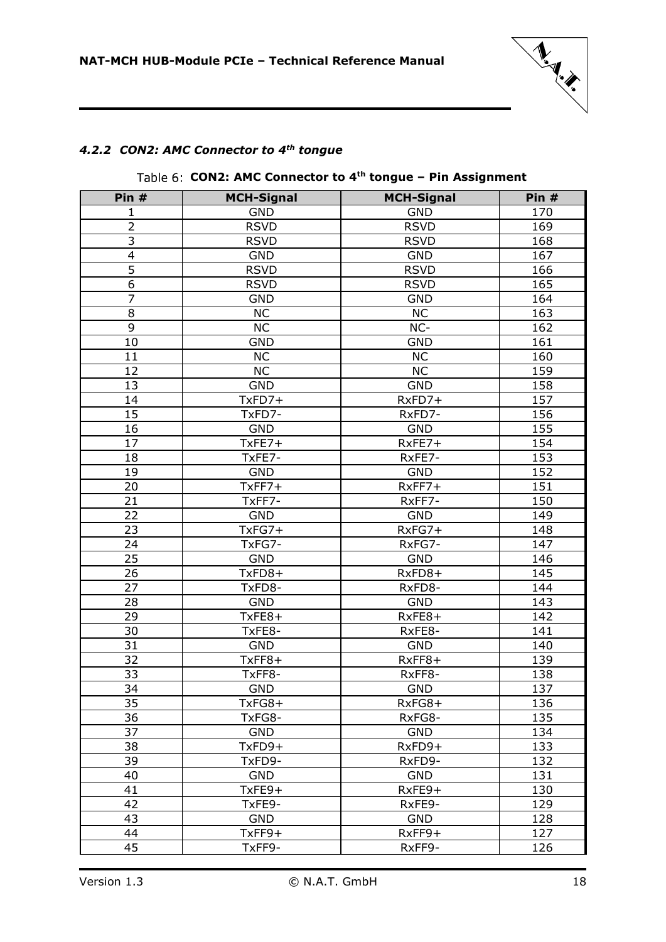

### <span id="page-17-1"></span><span id="page-17-0"></span>*4.2.2 CON2: AMC Connector to 4th tongue*

| Pin $#$        | <b>MCH-Signal</b> | <b>MCH-Signal</b> | Pin $#$ |
|----------------|-------------------|-------------------|---------|
| 1              | GND               | <b>GND</b>        | 170     |
| $\overline{2}$ | <b>RSVD</b>       | <b>RSVD</b>       | 169     |
| $\overline{3}$ | <b>RSVD</b>       | <b>RSVD</b>       | 168     |
| 4              | <b>GND</b>        | <b>GND</b>        | 167     |
| 5              | <b>RSVD</b>       | <b>RSVD</b>       | 166     |
| 6              | <b>RSVD</b>       | <b>RSVD</b>       | 165     |
| $\overline{7}$ | <b>GND</b>        | <b>GND</b>        | 164     |
| 8              | <b>NC</b>         | <b>NC</b>         | 163     |
| 9              | <b>NC</b>         | NC-               | 162     |
| 10             | <b>GND</b>        | <b>GND</b>        | 161     |
| 11             | <b>NC</b>         | <b>NC</b>         | 160     |
| 12             | <b>NC</b>         | <b>NC</b>         | 159     |
| 13             | <b>GND</b>        | <b>GND</b>        | 158     |
| 14             | TxFD7+            | RxFD7+            | 157     |
| 15             | TxFD7-            | RxFD7-            | 156     |
| 16             | <b>GND</b>        | <b>GND</b>        | 155     |
| 17             | $TxFE7+$          | RxFE7+            | 154     |
| 18             | TxFE7-            | RxFE7-            | 153     |
| 19             | <b>GND</b>        | <b>GND</b>        | 152     |
| 20             | $TxFF7+$          | RxFF7+            | 151     |
| 21             | TxFF7-            | RxFF7-            | 150     |
| 22             | <b>GND</b>        | <b>GND</b>        | 149     |
| 23             | TxFG7+            | $RxFG7+$          | 148     |
| 24             | TxFG7-            | RxFG7-            | 147     |
| 25             | <b>GND</b>        | <b>GND</b>        | 146     |
| 26             | TxFD8+            | RxFD8+            | 145     |
| 27             | TxFD8-            | RxFD8-            | 144     |
| 28             | <b>GND</b>        | <b>GND</b>        | 143     |
| 29             | TxFE8+            | $RxFE8+$          | 142     |
| 30             | TxFE8-            | RxFE8-            | 141     |
| 31             | <b>GND</b>        | <b>GND</b>        | 140     |
| 32             | TxFF8+            | RxFF8+            | 139     |
| 33             | TxFF8-            | RxFF8-            | 138     |
| 34             | GND               | <b>GND</b>        | 137     |
| 35             | TxFG8+            | $RxFG8+$          | 136     |
| 36             | TxFG8-            | RxFG8-            | 135     |
| 37             | <b>GND</b>        | <b>GND</b>        | 134     |
| 38             | TxFD9+            | RxFD9+            | 133     |
| 39             | TxFD9-            | RxFD9-            | 132     |
| 40             | <b>GND</b>        | <b>GND</b>        | 131     |
| 41             | TxFE9+            | RxFE9+            | 130     |
| 42             | TxFE9-            | RxFE9-            | 129     |
| 43             | <b>GND</b>        | <b>GND</b>        | 128     |
| 44             | $TxFF9+$          | RxFF9+            | 127     |
| 45             | TxFF9-            | RxFF9-            | 126     |

### **CON2: AMC Connector to 4th tongue – Pin Assignment**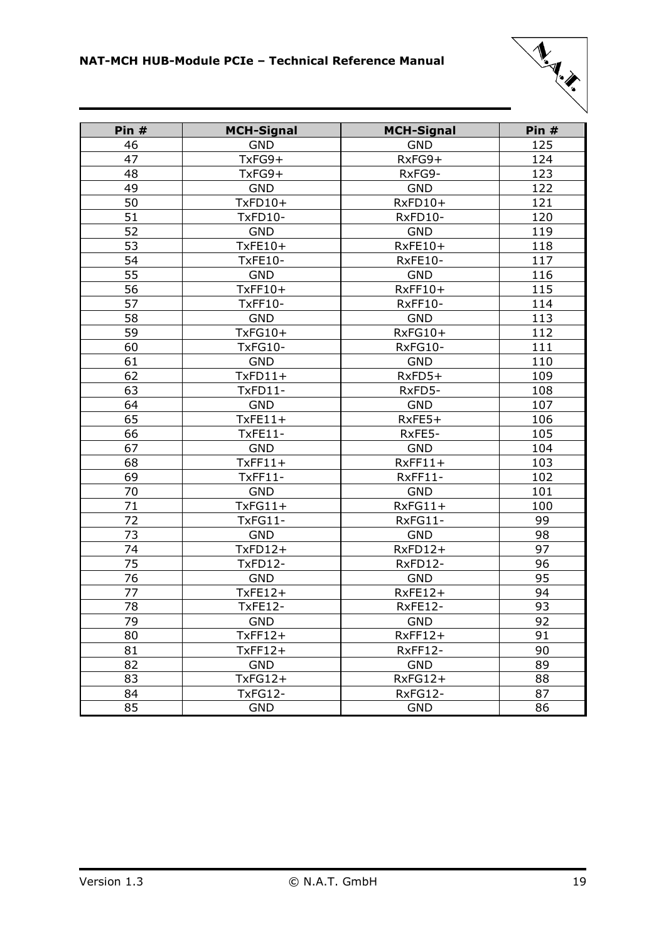

| Pin # | <b>MCH-Signal</b> | <b>MCH-Signal</b> | Pin # |
|-------|-------------------|-------------------|-------|
| 46    | <b>GND</b>        | <b>GND</b>        | 125   |
| 47    | TxFG9+            | RxFG9+            | 124   |
| 48    | TxFG9+            | RxFG9-            | 123   |
| 49    | <b>GND</b>        | <b>GND</b>        | 122   |
| 50    | $TxFD10+$         | RxFD10+           | 121   |
| 51    | TxFD10-           | RxFD10-           | 120   |
| 52    | <b>GND</b>        | <b>GND</b>        | 119   |
| 53    | TxFE10+           | $RxFE10+$         | 118   |
| 54    | <b>TxFE10-</b>    | RxFE10-           | 117   |
| 55    | <b>GND</b>        | <b>GND</b>        | 116   |
| 56    | TxFF10+           | $RxFF10+$         | 115   |
| 57    | <b>TxFF10-</b>    | RxFF10-           | 114   |
| 58    | <b>GND</b>        | <b>GND</b>        | 113   |
| 59    | TxFG10+           | RxFG10+           | 112   |
| 60    | <b>TxFG10-</b>    | RxFG10-           | 111   |
| 61    | <b>GND</b>        | <b>GND</b>        | 110   |
| 62    | $TxFD11+$         | RxFD5+            | 109   |
| 63    | TxFD11-           | RxFD5-            | 108   |
| 64    | <b>GND</b>        | <b>GND</b>        | 107   |
| 65    | $TxFE11+$         | $RxFE5+$          | 106   |
| 66    | <b>TxFE11-</b>    | RxFE5-            | 105   |
| 67    | <b>GND</b>        | <b>GND</b>        | 104   |
| 68    | $TxFF11+$         | $RxFF11+$         | 103   |
| 69    | <b>TxFF11-</b>    | RxFF11-           | 102   |
| 70    | <b>GND</b>        | <b>GND</b>        | 101   |
| 71    | $TxFG11+$         | $RxFG11+$         | 100   |
| 72    | TxFG11-           | RxFG11-           | 99    |
| 73    | <b>GND</b>        | <b>GND</b>        | 98    |
| 74    | $TxFD12+$         | RxFD12+           | 97    |
| 75    | TxFD12-           | RxFD12-           | 96    |
| 76    | <b>GND</b>        | <b>GND</b>        | 95    |
| 77    | $TxFE12+$         | $RxFE12+$         | 94    |
| 78    | <b>TxFE12-</b>    | RxFE12-           | 93    |
| 79    | GND               | GND               | 92    |
| 80    | $TxFF12+$         | $RxFF12+$         | 91    |
| 81    | $TxFF12+$         | RxFF12-           | 90    |
| 82    | <b>GND</b>        | <b>GND</b>        | 89    |
| 83    | $TxFG12+$         | RxFG12+           | 88    |
| 84    | <b>TxFG12-</b>    | RxFG12-           | 87    |
| 85    | <b>GND</b>        | <b>GND</b>        | 86    |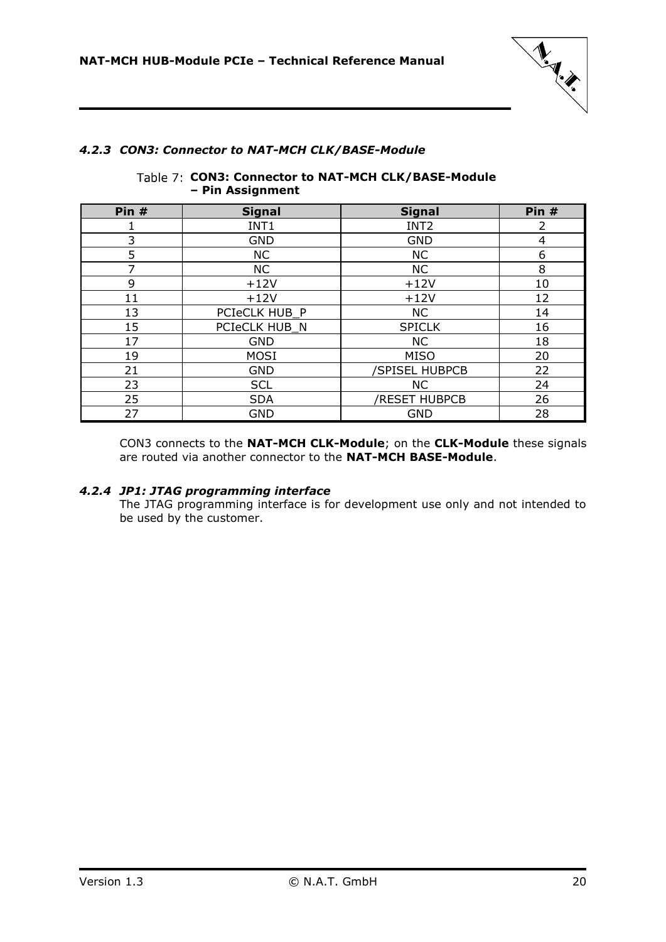

### <span id="page-19-2"></span><span id="page-19-0"></span>*4.2.3 CON3: Connector to NAT-MCH CLK/BASE-Module*

| Table 7: CON3: Connector to NAT-MCH CLK/BASE-Module |  |  |
|-----------------------------------------------------|--|--|
| - Pin Assignment                                    |  |  |

| Pin # | <b>Signal</b> | <b>Signal</b>    | Pin # |
|-------|---------------|------------------|-------|
|       | INT1          | INT <sub>2</sub> | 2     |
| 3     | <b>GND</b>    | <b>GND</b>       | 4     |
| 5     | <b>NC</b>     | <b>NC</b>        | 6     |
| 7     | <b>NC</b>     | <b>NC</b>        | 8     |
| 9     | $+12V$        | $+12V$           | 10    |
| 11    | $+12V$        | $+12V$           | 12    |
| 13    | PCIeCLK HUB P | <b>NC</b>        | 14    |
| 15    | PCIeCLK HUB_N | <b>SPICLK</b>    | 16    |
| 17    | <b>GND</b>    | <b>NC</b>        | 18    |
| 19    | <b>MOSI</b>   | <b>MISO</b>      | 20    |
| 21    | <b>GND</b>    | /SPISEL HUBPCB   | 22    |
| 23    | <b>SCL</b>    | <b>NC</b>        | 24    |
| 25    | <b>SDA</b>    | /RESET HUBPCB    | 26    |
| 27    | <b>GND</b>    | <b>GND</b>       | 28    |

CON3 connects to the **NAT-MCH CLK-Module**; on the **CLK-Module** these signals are routed via another connector to the **NAT-MCH BASE-Module**.

#### <span id="page-19-1"></span>*4.2.4 JP1: JTAG programming interface*

The JTAG programming interface is for development use only and not intended to be used by the customer.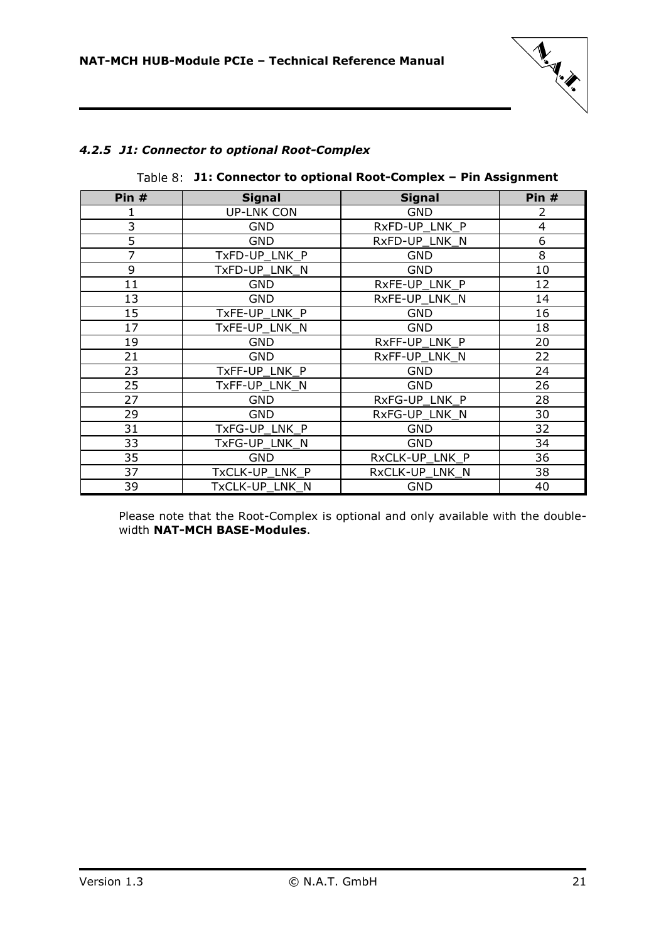

### <span id="page-20-0"></span>*4.2.5 J1: Connector to optional Root-Complex*

| Pin $#$        | <b>Signal</b>     | <b>Signal</b>  | Pin $#$        |
|----------------|-------------------|----------------|----------------|
|                | <b>UP-LNK CON</b> | <b>GND</b>     | 2              |
| 3              | <b>GND</b>        | RxFD-UP LNK P  | $\overline{4}$ |
| 5              | <b>GND</b>        | RxFD-UP_LNK_N  | 6              |
| $\overline{7}$ | TxFD-UP_LNK_P     | <b>GND</b>     | 8              |
| 9              | TxFD-UP_LNK_N     | <b>GND</b>     | 10             |
| 11             | <b>GND</b>        | RxFE-UP_LNK_P  | 12             |
| 13             | <b>GND</b>        | RxFE-UP LNK N  | 14             |
| 15             | TxFE-UP_LNK_P     | <b>GND</b>     | 16             |
| 17             | TxFE-UP LNK N     | <b>GND</b>     | 18             |
| 19             | <b>GND</b>        | RxFF-UP LNK P  | 20             |
| 21             | <b>GND</b>        | RxFF-UP LNK N  | 22             |
| 23             | TxFF-UP_LNK_P     | <b>GND</b>     | 24             |
| 25             | TxFF-UP_LNK_N     | <b>GND</b>     | 26             |
| 27             | <b>GND</b>        | RxFG-UP_LNK_P  | 28             |
| 29             | <b>GND</b>        | RxFG-UP_LNK_N  | 30             |
| 31             | TxFG-UP LNK P     | <b>GND</b>     | 32             |
| 33             | TxFG-UP_LNK_N     | <b>GND</b>     | 34             |
| 35             | <b>GND</b>        | RxCLK-UP_LNK_P | 36             |
| 37             | TxCLK-UP_LNK_P    | RxCLK-UP_LNK_N | 38             |
| 39             | TxCLK-UP LNK N    | <b>GND</b>     | 40             |

#### <span id="page-20-1"></span>**J1: Connector to optional Root-Complex – Pin Assignment**

Please note that the Root-Complex is optional and only available with the doublewidth **NAT-MCH BASE-Modules**.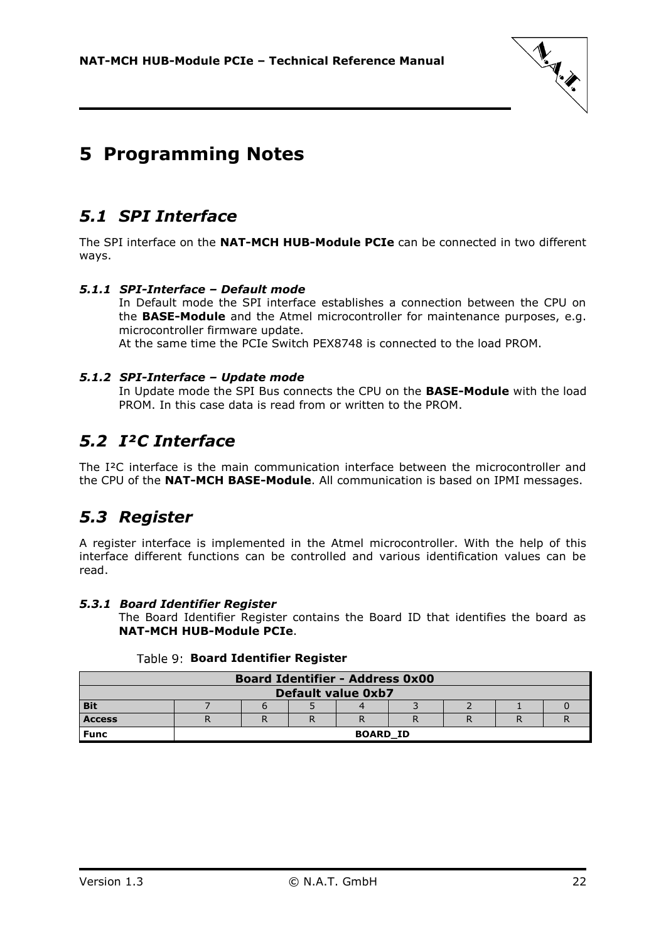

# <span id="page-21-0"></span>**5 Programming Notes**

### <span id="page-21-1"></span>*5.1 SPI Interface*

The SPI interface on the **NAT-MCH HUB-Module PCIe** can be connected in two different ways.

### <span id="page-21-2"></span>*5.1.1 SPI-Interface – Default mode*

In Default mode the SPI interface establishes a connection between the CPU on the **BASE-Module** and the Atmel microcontroller for maintenance purposes, e.g. microcontroller firmware update. At the same time the PCIe Switch PEX8748 is connected to the load PROM.

### <span id="page-21-3"></span>*5.1.2 SPI-Interface – Update mode*

In Update mode the SPI Bus connects the CPU on the **BASE-Module** with the load PROM. In this case data is read from or written to the PROM.

### <span id="page-21-4"></span>*5.2 I²C Interface*

The I²C interface is the main communication interface between the microcontroller and the CPU of the **NAT-MCH BASE-Module**. All communication is based on IPMI messages.

### <span id="page-21-5"></span>*5.3 Register*

A register interface is implemented in the Atmel microcontroller. With the help of this interface different functions can be controlled and various identification values can be read.

### <span id="page-21-6"></span>*5.3.1 Board Identifier Register*

The Board Identifier Register contains the Board ID that identifies the board as **NAT-MCH HUB-Module PCIe**.

<span id="page-21-7"></span>

| <b>Board Identifier - Address 0x00</b> |                 |  |  |  |  |  |  |  |
|----------------------------------------|-----------------|--|--|--|--|--|--|--|
| <b>Default value 0xb7</b>              |                 |  |  |  |  |  |  |  |
| <b>Bit</b>                             |                 |  |  |  |  |  |  |  |
| <b>Access</b>                          |                 |  |  |  |  |  |  |  |
| <b>Func</b>                            | <b>BOARD ID</b> |  |  |  |  |  |  |  |

### **Board Identifier Register**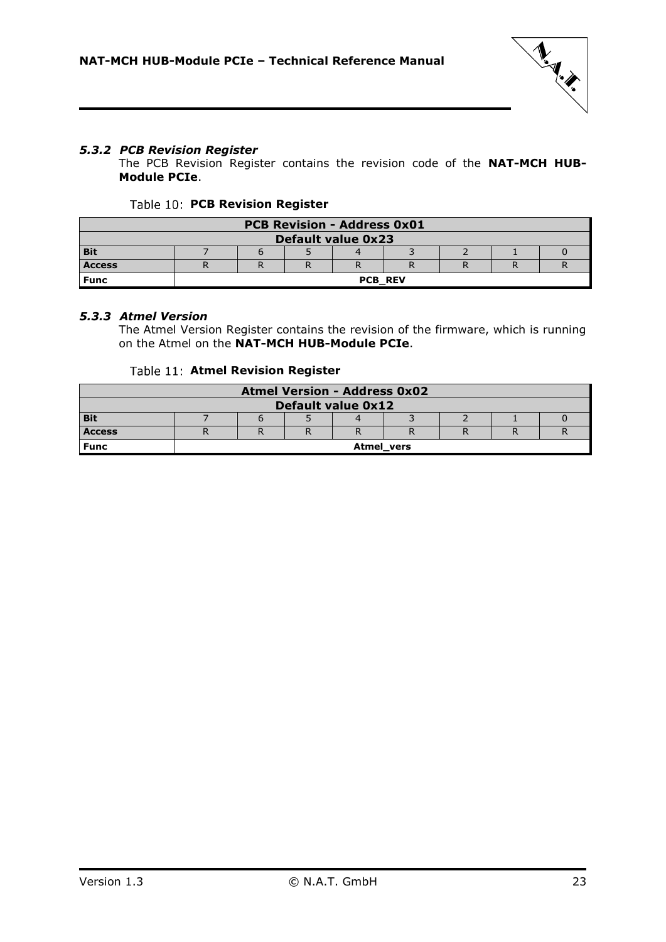

### <span id="page-22-0"></span>*5.3.2 PCB Revision Register*

The PCB Revision Register contains the revision code of the **NAT-MCH HUB-Module PCIe**.

#### Table 10: PCB Revision Register

<span id="page-22-2"></span>

| <b>PCB Revision - Address 0x01</b> |                |  |  |  |  |  |  |  |
|------------------------------------|----------------|--|--|--|--|--|--|--|
| <b>Default value 0x23</b>          |                |  |  |  |  |  |  |  |
| <b>Bit</b>                         |                |  |  |  |  |  |  |  |
| <b>Access</b>                      |                |  |  |  |  |  |  |  |
| <b>Func</b>                        | <b>PCB REV</b> |  |  |  |  |  |  |  |

#### <span id="page-22-1"></span>*5.3.3 Atmel Version*

The Atmel Version Register contains the revision of the firmware, which is running on the Atmel on the **NAT-MCH HUB-Module PCIe**.

#### **Table 11: Atmel Revision Register**

<span id="page-22-3"></span>

| <b>Atmel Version - Address 0x02</b> |  |                   |  |  |  |  |  |  |
|-------------------------------------|--|-------------------|--|--|--|--|--|--|
| <b>Default value 0x12</b>           |  |                   |  |  |  |  |  |  |
| <b>Bit</b>                          |  |                   |  |  |  |  |  |  |
| <b>Access</b>                       |  |                   |  |  |  |  |  |  |
| <b>Func</b>                         |  | <b>Atmel</b> vers |  |  |  |  |  |  |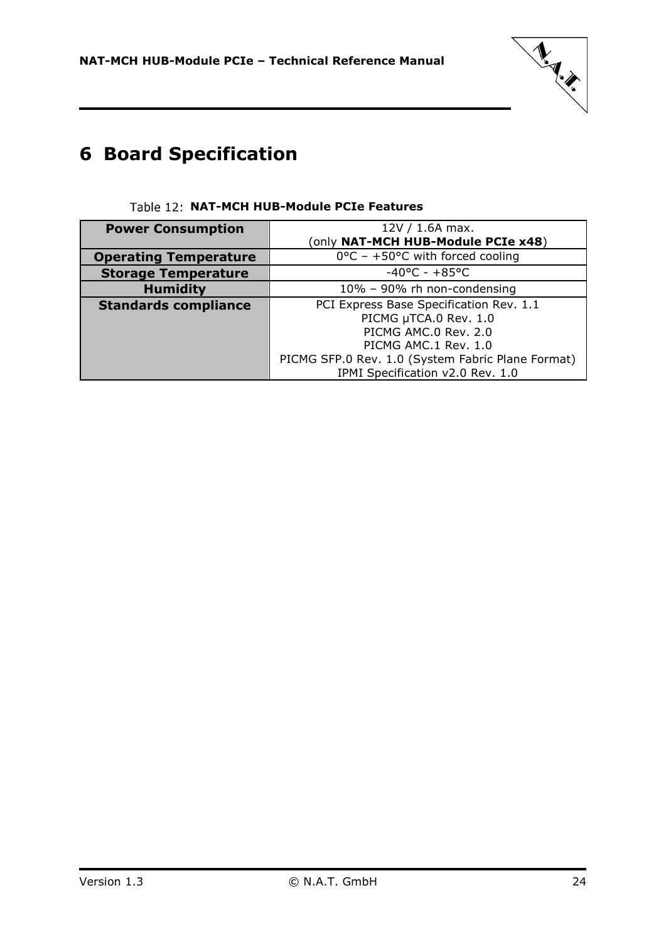

# <span id="page-23-0"></span>**6 Board Specification**

<span id="page-23-1"></span>

| <b>Power Consumption</b>     | $12V / 1.6A$ max.                                 |
|------------------------------|---------------------------------------------------|
|                              | (only NAT-MCH HUB-Module PCIe x48)                |
| <b>Operating Temperature</b> | $0^{\circ}$ C - +50°C with forced cooling         |
| <b>Storage Temperature</b>   | $-40^{\circ}$ C - $+85^{\circ}$ C                 |
| <b>Humidity</b>              | 10% - 90% rh non-condensing                       |
| <b>Standards compliance</b>  | PCI Express Base Specification Rev. 1.1           |
|                              | PICMG µTCA.0 Rev. 1.0                             |
|                              | PICMG AMC.0 Rev. 2.0                              |
|                              | PICMG AMC.1 Rev. 1.0                              |
|                              | PICMG SFP.0 Rev. 1.0 (System Fabric Plane Format) |
|                              | IPMI Specification v2.0 Rev. 1.0                  |

### Table 12: NAT-MCH HUB-Module PCIe Features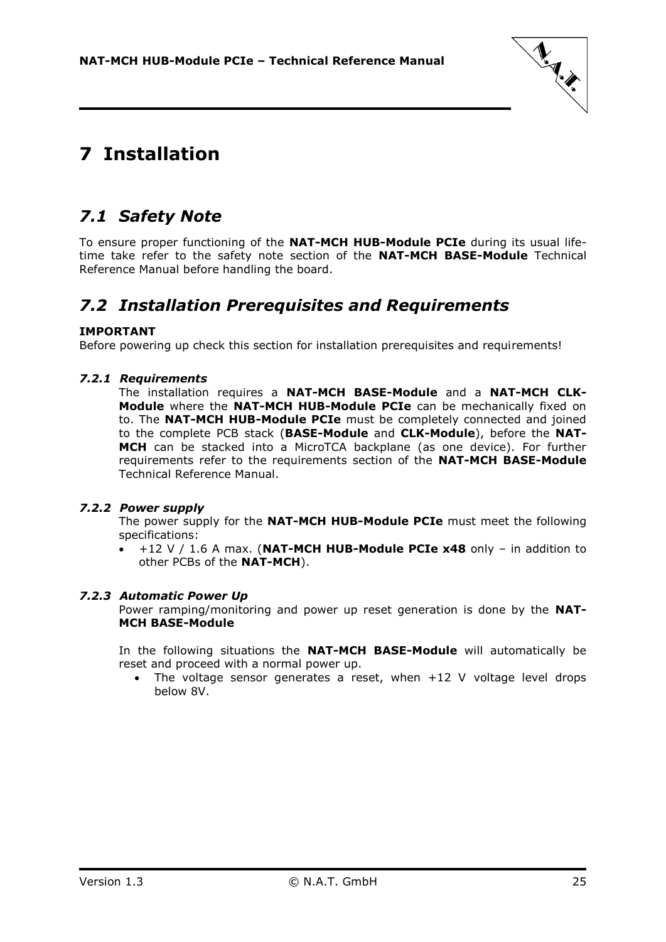

# <span id="page-24-0"></span>**7 Installation**

# <span id="page-24-1"></span>*7.1 Safety Note*

To ensure proper functioning of the **NAT-MCH HUB-Module PCIe** during its usual lifetime take refer to the safety note section of the **NAT-MCH BASE-Module** Technical Reference Manual before handling the board.

### <span id="page-24-2"></span>*7.2 Installation Prerequisites and Requirements*

### **IMPORTANT**

<span id="page-24-3"></span>Before powering up check this section for installation prerequisites and requirements!

### *7.2.1 Requirements*

The installation requires a **NAT-MCH BASE-Module** and a **NAT-MCH CLK-Module** where the **NAT-MCH HUB-Module PCIe** can be mechanically fixed on to. The **NAT-MCH HUB-Module PCIe** must be completely connected and joined to the complete PCB stack (**BASE-Module** and **CLK-Module**), before the **NAT-MCH** can be stacked into a MicroTCA backplane (as one device). For further requirements refer to the requirements section of the **NAT-MCH BASE-Module** Technical Reference Manual.

### <span id="page-24-4"></span>*7.2.2 Power supply*

The power supply for the **NAT-MCH HUB-Module PCIe** must meet the following specifications:

 +12 V / 1.6 A max. (**NAT-MCH HUB-Module PCIe x48** only – in addition to other PCBs of the **NAT-MCH**).

### <span id="page-24-5"></span>*7.2.3 Automatic Power Up*

Power ramping/monitoring and power up reset generation is done by the **NAT-MCH BASE-Module**

In the following situations the **NAT-MCH BASE-Module** will automatically be reset and proceed with a normal power up.

• The voltage sensor generates a reset, when +12 V voltage level drops below 8V.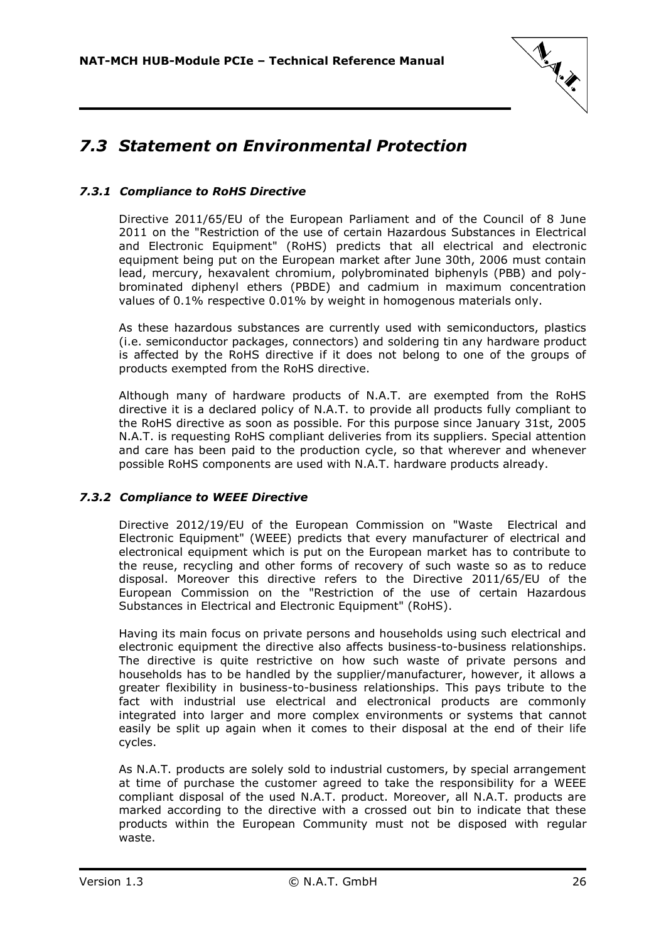

# <span id="page-25-0"></span>*7.3 Statement on Environmental Protection*

### <span id="page-25-1"></span>*7.3.1 Compliance to RoHS Directive*

Directive 2011/65/EU of the European Parliament and of the Council of 8 June 2011 on the "Restriction of the use of certain Hazardous Substances in Electrical and Electronic Equipment" (RoHS) predicts that all electrical and electronic equipment being put on the European market after June 30th, 2006 must contain lead, mercury, hexavalent chromium, polybrominated biphenyls (PBB) and polybrominated diphenyl ethers (PBDE) and cadmium in maximum concentration values of 0.1% respective 0.01% by weight in homogenous materials only.

As these hazardous substances are currently used with semiconductors, plastics (i.e. semiconductor packages, connectors) and soldering tin any hardware product is affected by the RoHS directive if it does not belong to one of the groups of products exempted from the RoHS directive.

Although many of hardware products of N.A.T. are exempted from the RoHS directive it is a declared policy of N.A.T. to provide all products fully compliant to the RoHS directive as soon as possible. For this purpose since January 31st, 2005 N.A.T. is requesting RoHS compliant deliveries from its suppliers. Special attention and care has been paid to the production cycle, so that wherever and whenever possible RoHS components are used with N.A.T. hardware products already.

### <span id="page-25-2"></span>*7.3.2 Compliance to WEEE Directive*

Directive 2012/19/EU of the European Commission on "Waste Electrical and Electronic Equipment" (WEEE) predicts that every manufacturer of electrical and electronical equipment which is put on the European market has to contribute to the reuse, recycling and other forms of recovery of such waste so as to reduce disposal. Moreover this directive refers to the Directive 2011/65/EU of the European Commission on the "Restriction of the use of certain Hazardous Substances in Electrical and Electronic Equipment" (RoHS).

Having its main focus on private persons and households using such electrical and electronic equipment the directive also affects business-to-business relationships. The directive is quite restrictive on how such waste of private persons and households has to be handled by the supplier/manufacturer, however, it allows a greater flexibility in business-to-business relationships. This pays tribute to the fact with industrial use electrical and electronical products are commonly integrated into larger and more complex environments or systems that cannot easily be split up again when it comes to their disposal at the end of their life cycles.

As N.A.T. products are solely sold to industrial customers, by special arrangement at time of purchase the customer agreed to take the responsibility for a WEEE compliant disposal of the used N.A.T. product. Moreover, all N.A.T. products are marked according to the directive with a crossed out bin to indicate that these products within the European Community must not be disposed with regular waste.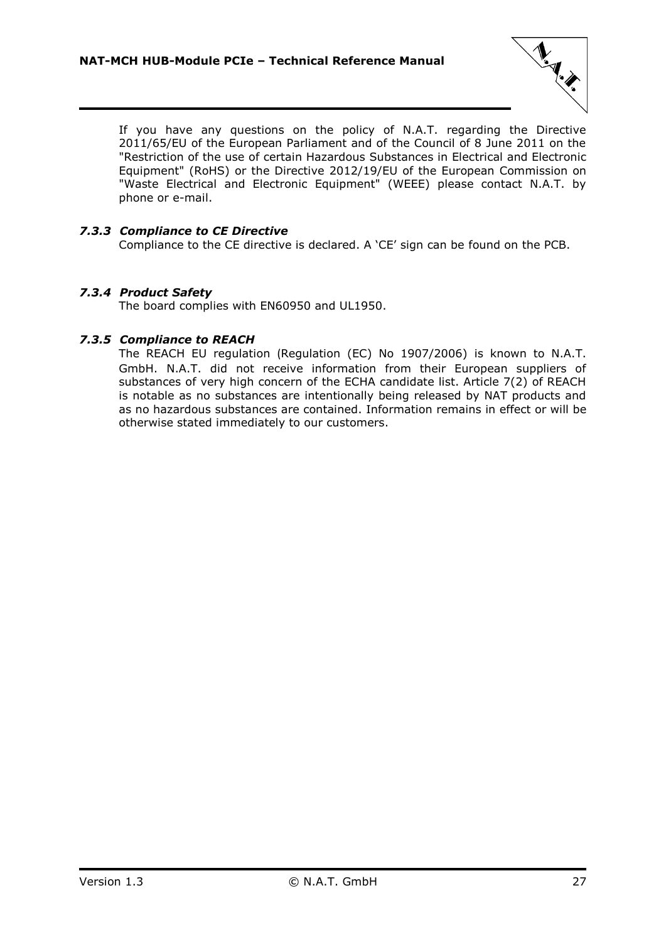

If you have any questions on the policy of N.A.T. regarding the Directive 2011/65/EU of the European Parliament and of the Council of 8 June 2011 on the "Restriction of the use of certain Hazardous Substances in Electrical and Electronic Equipment" (RoHS) or the Directive 2012/19/EU of the European Commission on "Waste Electrical and Electronic Equipment" (WEEE) please contact N.A.T. by phone or e-mail.

### <span id="page-26-0"></span>*7.3.3 Compliance to CE Directive*

Compliance to the CE directive is declared. A 'CE' sign can be found on the PCB.

### <span id="page-26-1"></span>*7.3.4 Product Safety*

The board complies with EN60950 and UL1950.

### <span id="page-26-2"></span>*7.3.5 Compliance to REACH*

The REACH EU regulation (Regulation (EC) No 1907/2006) is known to N.A.T. GmbH. N.A.T. did not receive information from their European suppliers of substances of very high concern of the ECHA candidate list. Article 7(2) of REACH is notable as no substances are intentionally being released by NAT products and as no hazardous substances are contained. Information remains in effect or will be otherwise stated immediately to our customers.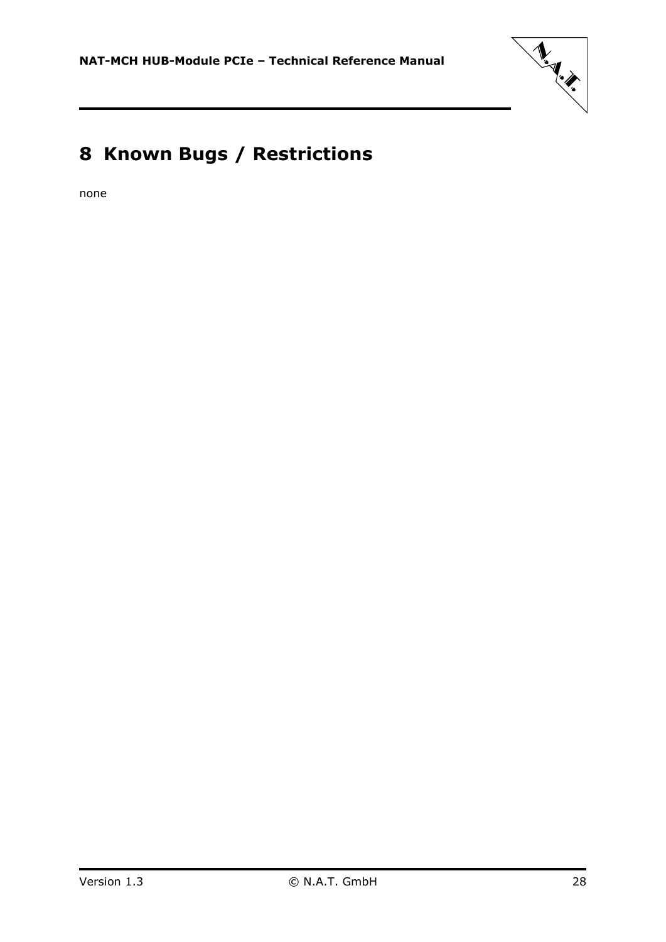

# <span id="page-27-0"></span>**8 Known Bugs / Restrictions**

none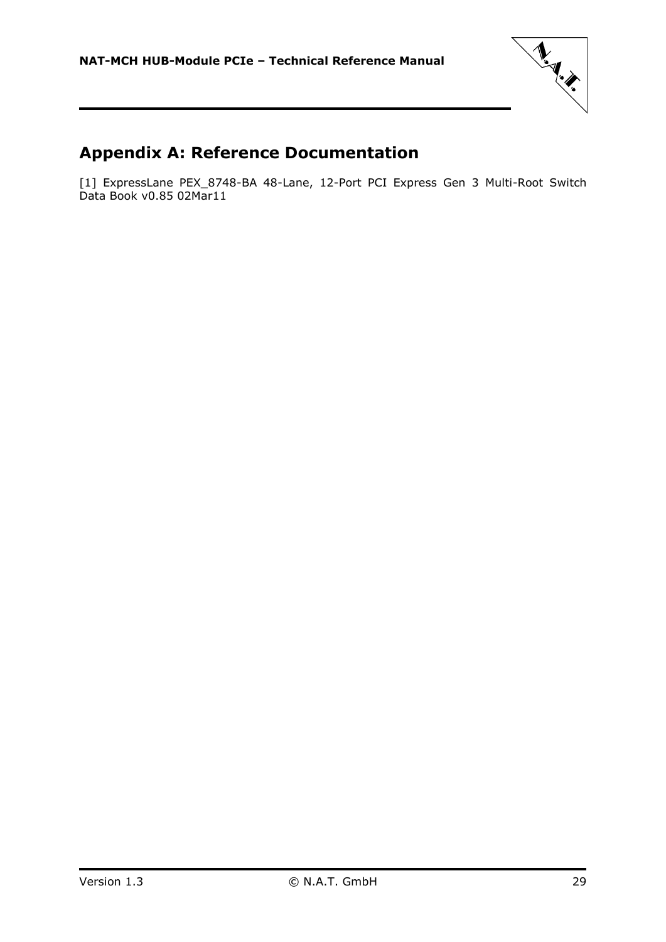

# <span id="page-28-0"></span>**Appendix A: Reference Documentation**

[1] ExpressLane PEX\_8748-BA 48-Lane, 12-Port PCI Express Gen 3 Multi-Root Switch Data Book v0.85 02Mar11